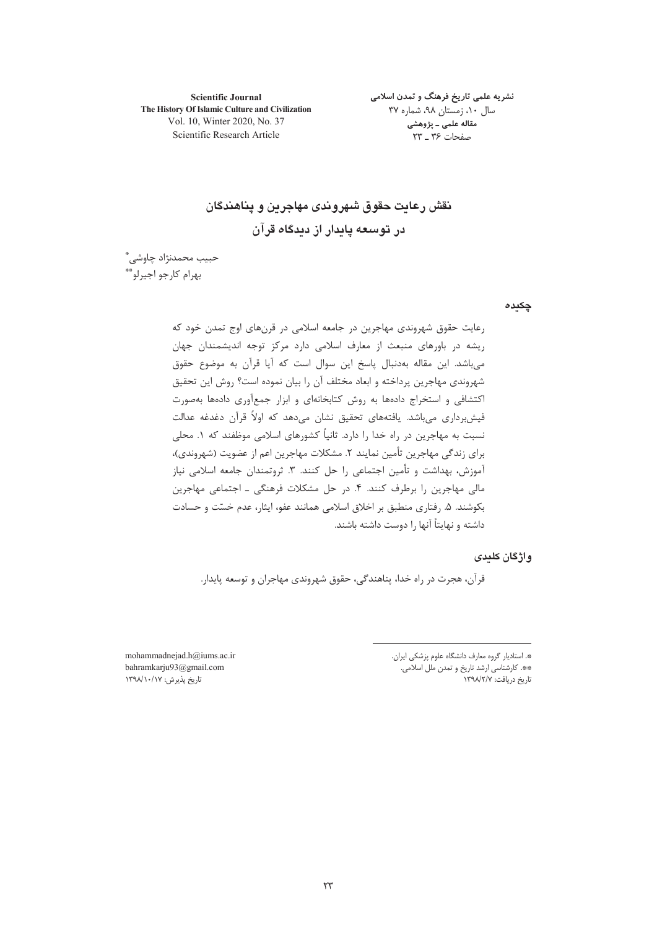**Scientific Journal** The History Of Islamic Culture and Civilization Vol. 10, Winter 2020, No. 37 Scientific Research Article

نشریه علمی تاریخ فرهنگ و تمدن اسلامی سال ۱۰، زمستان ۹۸، شماره ۳۷ مقاله علمي ـ پژوهشي صفحات ۳۶ \_ ۲۳

نقش رعابت حقوق شهروندي مهاجرين و يناهندگان در توسعه پایدار از دیدگاه قرآن

حبيب محمدنژاد چاوشى ٌّ بهرام كارجو اجيرلو\*\*

چکیدہ

رعایت حقوق شهروندی مهاجرین در جامعه اسلامی در قرنهای اوج تمدن خود که ریشه در باورهای منبعث از معارف اسلامی دارد مرکز توجه اندیشمندان جهان میباشد. این مقاله بهدنبال پاسخ این سوال است که آیا قرآن به موضوع حقوق شهروندي مهاجرين پرداخته و ابعاد مختلف آن را بيان نموده است؟ روش اين تحقيق اکتشافی و استخراج دادهها به روش کتابخانهای و ابزار جمعآوری دادهها بهصورت فیش دداری مے باشد. بافتههای تحقیق نشان مے دهد که اولاً قرآن دغدغه عدالت نسبت به مهاجرین در راه خدا را دارد. ثانیاً کشورهای اسلامی موظفند که ۱. محلی برای زندگی مهاجرین تأمین نمایند ۲. مشکلات مهاجرین اعم از عضویت (شهروندی)، آموزش، بهداشت و تأمین اجتماعی را حل کنند. ۳. ثروتمندان جامعه اسلامی نیاز مالی مهاجرین را برطرف کنند. ۴. در حل مشکلات فرهنگی ــ اجتماعی مهاجرین بكوشند. ۵. رفتاري منطبق بر اخلاق اسلامي همانند عفو، ايثار، عدم خسّت و حسادت داشته و نهایتاً آنها ۱٫ دوست داشته باشند.

و اژ گان کلیدی

قرآن، هجرت در راه خدا، پناهندگی، حقوق شهروندی مهاجران و توسعه پایدار.

\*. استادیار گروه معارف دانشگاه علوم پزشکی ایران. \*\*. كارشناسى ارشد تاريخ و تمدن ملل اسلامى. .<br>تاریخ دریافت: ۱۳۹۸/۲/۷

mohammadnejad.h@iums.ac.ir bahramkarju93@gmail.com تاریخ پذیرش: ۱۳۹۸/۱۰/۱۷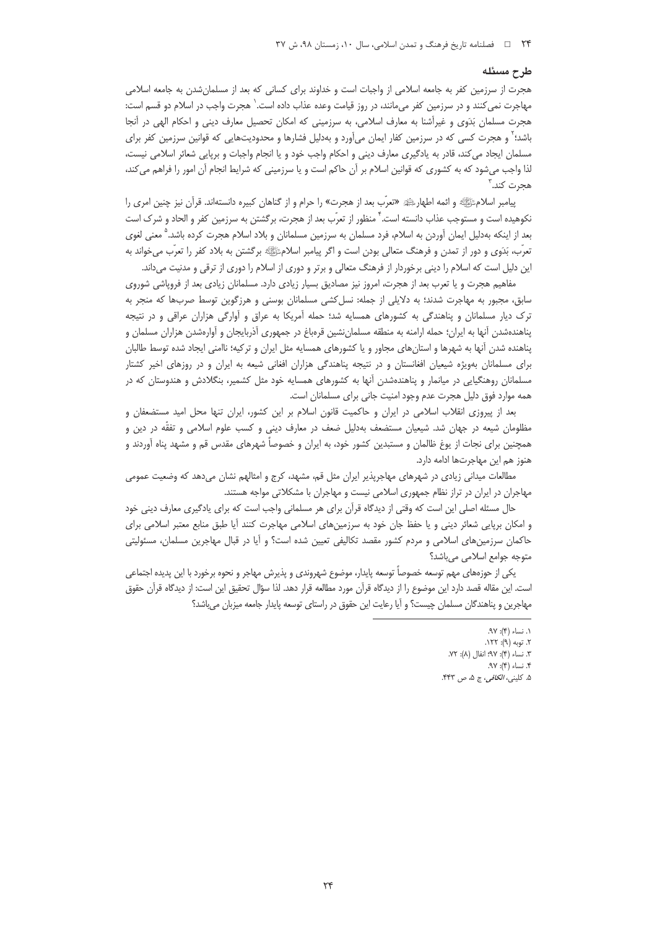#### طرح مسئله

هجرت از سرزمین کفر به جامعه اسلامی از واجبات است و خداوند برای کسانی که بعد از مسلمان شدن به جامعه اسلامی مهاجرت نمی کنند و در سرزمین کفر میمانند، در روز قیامت وعده عذاب داده است.` هجرت واجب در اسلام دو قسم است: هجرت مسلمان بَدَوی و غیرأشنا به معارف اسلامی، به سرزمینی که امکان تحصیل معارف دینی و احکام الهی در أنجا باشد؛ ً و هجرت کسی که در سرزمین کفار ایمان میآورد و بهدلیل فشارها و محدودیتهایی که قوانین سرزمین کفر برای مسلمان ایجاد می کند، قادر به یادگیری معارف دینی و احکام واجب خود و یا انجام واجبات و برپایی شعائر اسلامی نیست، لذا واجب میشود که به کشوری که قوانین اسلام بر آن حاکم است و یا سرزمینی که شرایط انجام آن امور را فراهم میکند، هحرت كند.

پیامبر اسلامﷺ و ائمه اطهارﷺ «تعرّب بعد از هجرت» را حرام و از گناهان کبیره دانستهاند. قرآن نیز چنین امری را نکوهیده است و مستوجب عذاب دانسته است. ۲ منظور از تعرّب بعد از هجرت، برگشتن به سرزمین کفر و الحاد و شرک است بعد از اینکه بهدلیل ایمان آوردن به اسلام، فرد مسلمان به سرزمین مسلمانان و بلاد اسلام هجرت کرده باشد.<sup>۵</sup> معنی لغوی تعرُّب، بَدَوى و دور از تمدن و فرهنگ متعالى بودن است و اگر پيامبر اسلامﷺ برگشتن به بلاد كفر را تعرُّب مىخواند به این دلیل است که اسلام را دینی برخوردار از فرهنگ متعالی و برتر و دوری از اسلام را دوری از ترقی و مدنیت میداند.

مفاهیم هجرت و یا تعرب بعد از هجرت، امروز نیز مصادیق بسیار زیادی دارد. مسلمانان زیادی بعد از فروپاشی شوروی سابق، مجبور به مهاجرت شدند؛ به دلایلی از جمله: نسل کشی مسلمانان بوسنی و هرزگوین توسط صربها که منجر به ترک دیار مسلمانان و پناهندگی به کشورهای همسایه شد؛ حمله آمریکا به عراق و آوارگی هزاران عراقی و در نتیجه پناهندهشدن آنها به ایران؛ حمله ارامنه به منطقه مسلماننشین قرهباغ در جمهوری آذربایجان و آوارهشدن هزاران مسلمان و پناهنده شدن أنها به شهرها و استان های مجاور و یا کشورهای همسایه مثل ایران و ترکیه؛ ناامنی ایجاد شده توسط طالبان برای مسلمانان بهویژه شیعیان افغانستان و در نتیجه پناهندگی هزاران افغانی شیعه به ایران و در روزهای اخیر کشتار مسلمانان روهنگیایی در میانمار و پناهندهشدن آنها به کشورهای همسایه خود مثل کشمیر، بنگلادش و هندوستان که در همه موارد فوق دلیل هجرت عدم وجود امنیت جانی برای مسلمانان است.

بعد از پیروزی انقلاب اسلامی در ایران و حاکمیت قانون اسلام بر این کشور، ایران تنها محل امید مستضعفان و مظلومان شیعه در جهان شد. شیعیان مستضعف بهدلیل ضعف در معارف دینی و کسب علوم اسلامی و تفقه در دین و همچنین برای نجات از یوغ ظالمان و مستبدین کشور خود، به ایران و خصوصاً شهرهای مقدس قم و مشهد پناه آوردند و هنوز هم این مهاجرتها ادامه دارد.

مطالعات میدانی زیادی در شهرهای مهاجریذیر ایران مثل قم، مشهد، کرج و امثالهم نشان میدهد که وضعیت عمومی مهاجران در ایران در تراز نظام جمهوری اسلامی نیست و مهاجران با مشکلاتی مواجه هستند.

حال مسئله اصلی این است که وقتی از دیدگاه قرآن برای هر مسلمانی واجب است که برای یادگیری معارف دینی خود و امکان برپایی شعائر دینی و یا حفظ جان خود به سرزمینهای اسلامی مهاجرت کنند آیا طبق منابع معتبر اسلامی برای حاکمان سرزمینهای اسلامی و مردم کشور مقصد تکالیفی تعیین شده است؟ و آیا در قبال مهاجرین مسلمان، مسئولیتی متوجه جوامع اسلامی میباشد؟

یکی از حوزههای مهم توسعه خصوصاً توسعه پایدار، موضوع شهروندی و پذیرش مهاجر و نحوه برخورد با این پدیده اجتماعی است. این مقاله قصد دارد این موضوع را از دیدگاه قرآن مورد مطالعه قرار دهد. لذا سؤال تحقیق این است: از دیدگاه قرآن حقوق مهاجرین و پناهندگان مسلمان چیست؟ و آیا رعایت این حقوق در راستای توسعه پایدار جامعه میزبان میباشد؟

 $\cdot$ ۰ نساء (۴): ۹۷. ۲. توبه (۹): ۱۲۲. ٣. نساء (۴): ٩٧؛ انفال (٨): ٧٢. ۴. نساء (۴): ۹۷.

۵. کلینی، *الکافی*، ج ۵، ص ۴۴۳.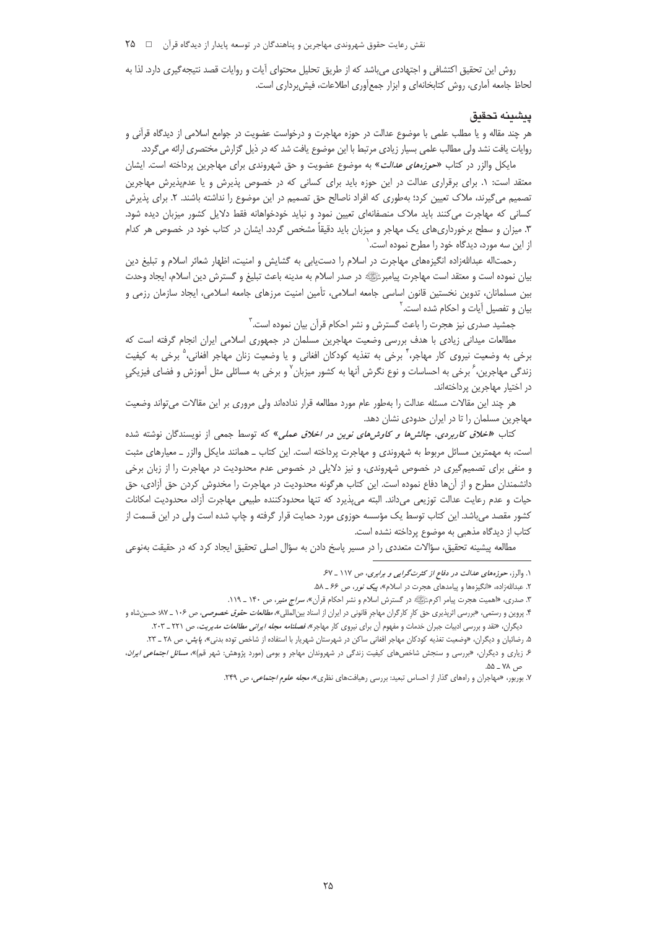نقش رعایت حقوق شهروندی مهاجرین و پناهندگان در توسعه پایدار از دیدگاه قرآن ها ۲۵

روش این تحقیق اکتشافی و اجتهادی می باشد که از طریق تحلیل محتوای آیات و روایات قصد نتیجه گیری دارد. لذا به لحاظ جامعه أماري، روش كتابخانهاي و ابزار جمعأوري اطلاعات، فيش برداري است.

## بيشينه تحقيق

هر چند مقاله و یا مطلب علمی با موضوع عدالت در حوزه مهاجرت و درخواست عضویت در جوامع اسلامی از دیدگاه قرآنی و روایات یافت نشد ولی مطالب علمی بسیار زیادی مرتبط با این موضوع یافت شد که در ذیل گزارش مختصری ارائه میگردد.

مایکل والزر در کتاب «ح*وزههای عدالت»* به موضوع عضویت و حق شهروندی برای مهاجرین پرداخته است. ایشان معتقد است: ۱. برای برقراری عدالت در این حوزه باید برای کسانی که در خصوص پذیرش و یا عدمپذیرش مهاجرین تصمیم میگیرند، ملاک تعیین کرد؛ بهطوری که افراد ناصالح حق تصمیم در این موضوع را نداشته باشند. ۲. برای پذیرش کسانی که مهاجرت می کنند باید ملاک منصفانهای تعیین نمود و نباید خودخواهانه فقط دلایل کشور میزبان دیده شود. ۳. میزان و سطح برخورداریهای یک مهاجر و میزبان باید دقیقاً مشخص گردد. ایشان در کتاب خود در خصوص هر کدام از این سه مورد، دیدگاه خود را مطرح نموده است. ٰ

رحمتاله عبداللهزاده انگیزههای مهاجرت در اسلام را دست یابی به گشایش و امنیت، اظهار شعائر اسلام و تبلیغ دین بیان نموده است و معتقد است مهاجرت پیامبرﷺ در صدر اسلام به مدینه باعث تبلیغ و گسترش دین اسلام، ایجاد وحدت بین مسلمانان، تدوین نخستین قانون اساسی جامعه اسلامی، تأمین امنیت مرزهای جامعه اسلامی، ایجاد سازمان رزمی و بیان و تفصیل آیات و احکام شده است.<sup>۲</sup>

جمشید صدری نیز هجرت را باعث گسترش و نشر احکام قرآن بیان نموده است.<sup>۳</sup>

مطالعات میدانی زیادی با هدف بررسی وضعیت مهاجرین مسلمان در جمهوری اسلامی ایران انجام گرفته است که برخی به وضعیت نیروی کار مهاجر،<sup>۴</sup> برخی به تغذیه کودکان افغانی و یا وضعیت زنان مهاجر افغانی،<sup>۵</sup> برخی به کیفیت زندگی مهاجرین، ً برخی به احساسات و نوع نگرش آنها به کشور میزبان<sup>۷</sup> و برخی به مسائلی مثل آموزش و فضای فیزیکی در اختيار مهاجرين يرداختهاند.

هر چند این مقالات مسئله عدالت را بهطور عام مورد مطالعه قرار ندادهاند ولی مروری بر این مقالات میتواند وضعیت مهاجرین مسلمان را تا در ایران حدودی نشان دهد.

کتاب *«اخلاق کاربردی، چالشرها و کاوشرهای نوین در اخلاق عملی» که ت*وسط جمعی از نویسندگان نوشته شده است، به مهمترین مسائل مربوط به شهروندی و مهاجرت پرداخته است. این کتاب \_ همانند مایکل والزر \_ معیارهای مثبت و منفی برای تصمیمگیری در خصوص شهروندی، و نیز دلایلی در خصوص عدم محدودیت در مهاجرت را از زبان برخی دانشمندان مطرح و از آنها دفاع نموده است. این کتاب هرگونه محدودیت در مهاجرت را مخدوش کردن حق آزادی، حق حیات و عدم رعایت عدالت توزیعی میداند. البته می پذیرد که تنها محدودکننده طبیعی مهاجرت آزاد، محدودیت امکانات کشور مقصد می!شد. این کتاب توسط یک مؤسسه حوزوی مورد حمایت قرار گرفته و چاپ شده است ولی در این قسمت از کتاب از دیدگاه مذهبی به موضوع پرداخته نشده است.

مطالعه پیشینه تحقیق، سؤالات متعددی را در مسیر پاسخ دادن به سؤال اصلی تحقیق ایجاد کرد که در حقیقت بهنوعی

١. والرز، حوزههای عدالت در دفاع از کثرت گرایی و برابری، ص ١١٧ ـ ۶٧.

۲. عبداللهزاده، «انگیزهها و پیامدهای هجرت در اسلام»، *پیک نور، ص ۶۶ ـ ۵*۸.

۳. صدری، «اهمیت هجرت پیامر اکرمﷺ» در گسترش اسلام و نشر احکام قرآن»، *سراج منیر، ص* ۱۴۰ <sub>–</sub> ۱۱۹.

۴. پروین و رستمی، «بررسی اثرپذیری حق کار کارگران مهاجر قانونی در ایران از اسناد بینالمللی»، *مطالعات حقوق خصوصی، ص ۱۰۶ – ۱*۸٪ حسینشاه و دیگران، «نقد و بررسی ادبیات جبران خدمات و مفهوم آن برای نیروی کار مهاجر»، *فصلنامه مجله ایرانی مطالعات مدیریت*، ص ۲۲۱ ـ ۲۰۳.

۵. رضائیان و دیگران، «وضعیت تغذیه کودکان مهاجر افغانی ساکن در شهرستان شهریار با استفاده از شاخص توده بدنی»، *پایش، ص ۲*۸ ـ ۲۳.

۶. زیاری و دیگران، «بررسی و سنجش شاخصهای کیفیت زندگی در شهروندان مهاجر و بومی (مورد پژوهش: شهر قم)»، *مسائل اجتماعی ایران*، ص ۷۸ ـ ۵۵.

۷. بوربور، «مهاجران و راههای گذار از احساس تبعید: بررسی رهیافتهای نظری»، *مجله علوم اجتماعی، ص* ۳۴۹.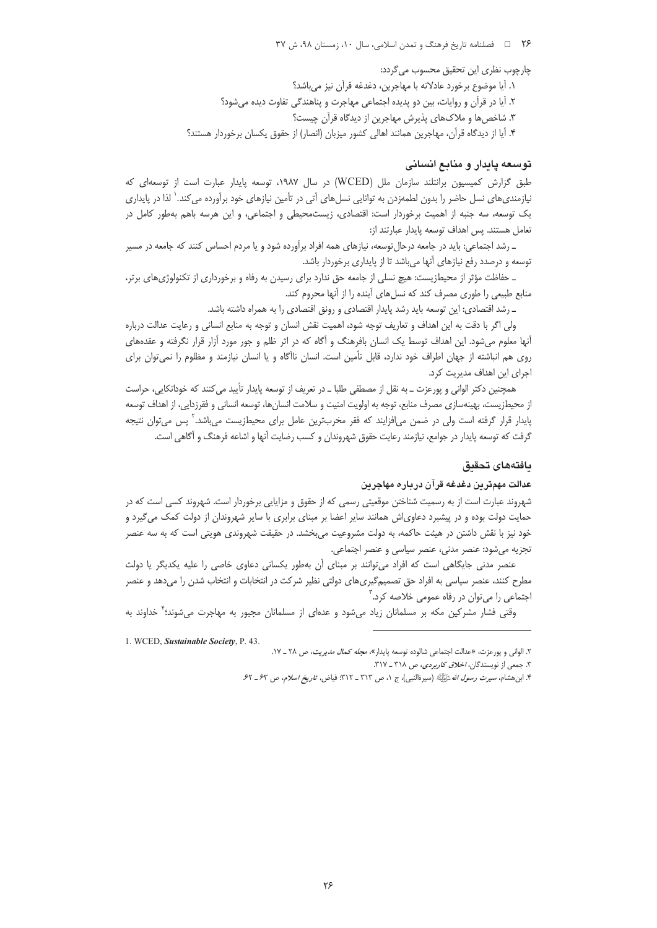## ٢۶ = فصلنامه تاريخ فرهنگ و تمدن اسلامي، سال ١٠، زمستان ٩٨، ش ٣٧

چارچوب نظری این تحقیق محسوب می گردد:

١. أيا موضوع برخورد عادلانه با مهاجرين، دغدغه قرآن نيز ميباشد؟

٢. آيا در قرآن و روايات، بين دو پديده اجتماعي مهاجرت و پناهندگي تفاوت ديده مي شود؟

٣. شاخصها و ملاكهاى پذيرش مهاجرين از ديدگاه قرآن چيست؟

۴. آیا از دیدگاه قرآن، مهاجرین همانند اهالی کشور میزبان (انصار) از حقوق یکسان برخوردار هستند؟

# توسعه يابدار و منابع انساني

طبق گزارش کمیسیون برانتلند سازمان ملل (WCED) در سال ۱۹۸۷، توسعه پایدار عبارت است از توسعهای که نیازمندیهای نسل حاضر را بدون لطمهزدن به توانایی نسلهای آتی در تأمین نیازهای خود برآورده میکند.` لذا در پایداری یک توسعه، سه جنبه از اهمیت برخوردار است: اقتصادی، زیستمحیطی و اجتماعی، و این هرسه باهم بهطور کامل در تعامل هستند. پس اهداف توسعه پايدار عبارتند از:

ـ رشد اجتماعی: باید در جامعه درحال توسعه، نیازهای همه افراد برآورده شود و یا مردم احساس کنند که جامعه در مسیر توسعه و درصدد رفع نیازهای آنها می باشد تا از پایداری برخوردار باشد.

ـ حفاظت مؤثر از محیطزیست: هیچ نسلی از جامعه حق ندارد برای رسیدن به رفاه و برخورداری از تکنولوژیهای برتر، منابع طبیعی را طوری مصرف کند که نسلهای آینده را از آنها محروم کند.

\_ رشد اقتصادی: این توسعه باید رشد پایدار اقتصادی و رونق اقتصادی را به همراه داشته باشد.

ولی اگر با دقت به این اهداف و تعاریف توجه شود، اهمیت نقش انسان و توجه به منابع انسانی و رعایت عدالت درباره آنها معلوم میشود. این اهداف توسط یک انسان بافرهنگ و آگاه که در اثر ظلم و جور مورد آزار قرار نگرفته و عقدههای روی هم انباشته از جهان اطراف خود ندارد، قابل تأمین است. انسان ناآگاه و یا انسان نیازمند و مظلوم را نمی توان برای اجرا*ی* این اهداف مدیریت کرد.

همچنین دکتر الوانی و پورعزت ـ به نقل از مصطفی طلبا ـ در تعریف از توسعه پایدار تأیید می کنند که خوداتکایی، حراست از محیطزیست، بهینهسازی مصرف منابع، توجه به اولویت امنیت و سلامت انسانها، توسعه انسانی و فقرزدایی، از اهداف توسعه پایدار قرار گرفته است ولی در ضمن می|فزایند که فقر مخربترین عامل برای محیطزیست میباشد.' پس می¤وان نتیجه گرفت که توسعه پایدار در جوامع، نیازمند رعایت حقوق شهروندان و کسب رضایت آنها و اشاعه فرهنگ و آگاهی است.

## بافتههاى تحقيق

## عدالت مهمترين دغدغه قرآن درباره مهاجرين

شهروند عبارت است از به رسمیت شناختن موقعیتی رسمی که از حقوق و مزایایی برخوردار است. شهروند کسی است که در حمایت دولت بوده و در پیشبرد دعاوی|ش همانند سایر اعضا بر مبنای برابری با سایر شهروندان از دولت کمک میگیرد و خود نیز با نقش داشتن در هیئت حاکمه، به دولت مشروعیت میبخشد. در حقیقت شهروندی هویتی است که به سه عنصر تجزيه مي شود: عنصر مدني، عنصر سياسي و عنصر اجتماعي.

عنصر مدنی جایگاهی است که افراد می توانند بر مبنای آن بهطور یکسانی دعاوی خاصی را علیه یکدیگر یا دولت مطرح كنند، عنصر سياسي به افراد حق تصميم گيريهاي دولتي نظير شركت در انتخابات و انتخاب شدن را ميدهد و عنصر اجتماعی را می¤وان در رفاه عمومی خلاصه کرد.<sup>۳</sup>

وقتی فشار مشرکین مکه بر مسلمانان زیاد میشود و عدهای از مسلمانان مجبور به مهاجرت میشوند؛<sup>۲</sup> خداوند به

<sup>1.</sup> WCED, Sustainable Society, P. 43.

۲. الوانی و یورعزت، «عدالت اجتماعی شالوده توسعه پایدار»، *مجله کمال مدیریت*، ص ۲۸ ـ ۱۷. ٣. جمعی از نویسندگان، *اخلاق کاربردی*، ص ٣١٨ ـ ٣١٧.

۴. ابن@شام، *سیرت رسول الله ﷺ* (سیرةالنبی)، ج ۱، ص ۳۱۳ ـ ۳۱۲: فیاض*، تاریخ اسلام*، ص ۶۳ ـ ۶۲.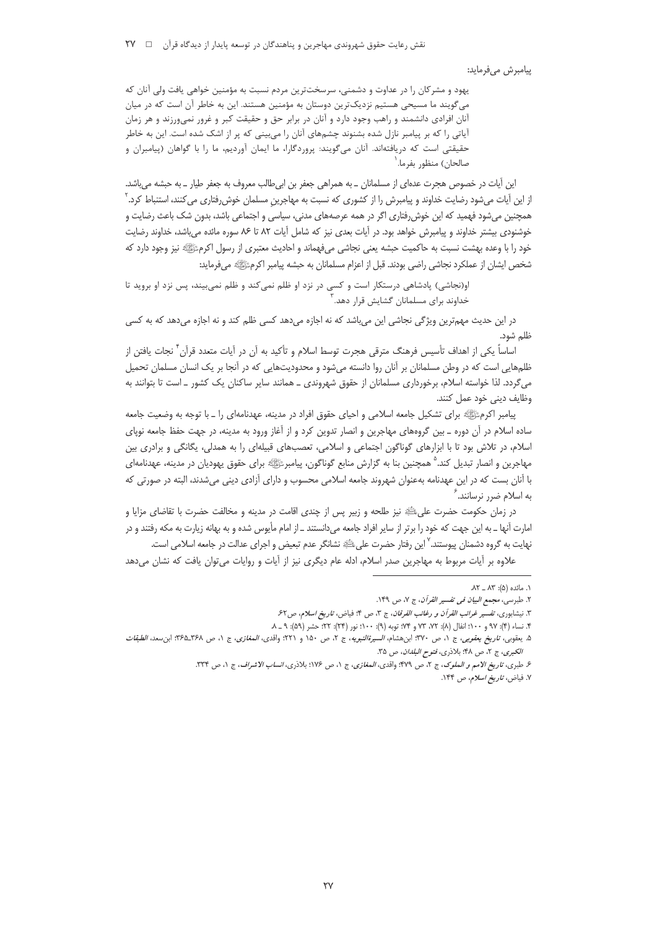## پیامبرش مے فرماید:

یهود و مشرکان را در عداوت و دشمنی، سرسختترین مردم نسبت به مؤمنین خواهی یافت ولی آنان که میگویند ما مسیحی هستیم نزدیکترین دوستان به مؤمنین هستند. این به خاطر آن است که در میان آنان افرادی دانشمند و راهب وجود دارد و آنان در برابر حق و حقیقت کبر و غرور نمیورزند و هر زمان آیاتی را که بر پیامبر نازل شده بشنوند چشمهای آنان را میبینی که پر از اشک شده است. این به خاطر حقیقتی است که دریافتهاند. آنان میگویند: پروردگارا، ما ایمان آوردیم، ما را با گواهان (پیامبران و صالحان) منظور بفرما.<sup>י</sup>

این آیات در خصوص هجرت عدهای از مسلمانان ـ به همراهی جعفر بن ابیطالب معروف به جعفر طیار ـ به حبشه میباشد. از این آیات می شود رضایت خداوند و پیامبرش را از کشوری که نسبت به مهاجرین مسلمان خوش رفتاری می کنند، استنباط کرد.<sup>۲</sup> همچنین میشود فهمید که این خوش,رفتاری اگر در همه عرصههای مدنی، سیاسی و اجتماعی باشد، بدون شک باعث رضایت و خوشنودی بیشتر خداوند و پیامبرش خواهد بود. در آیات بعدی نیز که شامل آیات ۸۲ تا ۸۶ سوره مائده می باشد، خداوند رضایت خود را با وعده بهشت نسبت به حاکمیت حبشه یعنی نجاشی می فهماند و احادیث معتبری از رسول اکرمﷺ نیز وجود دارد که شخص ایشان از عملکرد نجاشی راضی بودند. قبل از اعزام مسلمانان به حبشه پیامبر اکرمﷺ میفرماید:

او(نجاشی) پادشاهی درستکار است و کسی در نزد او ظلم نمیکند و ظلم نمیبیند، پس نزد او بروید تا .<br>خداوند برای مسلمانان گشایش قرا<sub>د</sub> دهد.

در این حدیث مهمترین ویژگی نجاشی این میباشد که نه اجازه میدهد کسی ظلم کند و نه اجازه میدهد که به کسی ظلم شود.

اساساً یکی از اهداف تأسیس فرهنگ مترقی هجرت توسط اسلام و تأکید به آن در آیات متعدد قرآن<sup>۲</sup> نجات یافتن از ظلمهایی است که در وطن مسلمانان بر آنان روا دانسته می شود و محدودیتهایی که در آنجا بر یک انسان مسلمان تحمیل می گردد. لذا خواسته اسلام، برخورداری مسلمانان از حقوق شهروندی ــ همانند سایر ساکنان یک کشور ــ است تا بتوانند به وظايف ديني خود عمل كنند.

پیامبر اکرمﷺ برای تشکیل جامعه اسلامی و احیای حقوق افراد در مدینه، عهدنامهای را ـ با توجه به وضعیت جامعه ساده اسلام در آن دوره ــ بین گروههای مهاجرین و انصار تدوین کرد و از آغاز ورود به مدینه، در جهت حفظ جامعه نوپای اسلام، در تلاش بود تا با ابزارهای گوناگون اجتماعی و اسلامی، تعصبهای قبیلهای را به همدلی، یگانگی و برادری بین مهاجرین و انصار تبدیل کند.<sup>۵</sup> همچنین بنا به گزارش منابع گوناگون، پیامبرﷺ برای حقوق یهودیان در مدینه، عهدنامهای با آنان بست که در این عهدنامه بهعنوان شهروند جامعه اسلامی محسوب و دارای آزادی دینی میشدند، البته در صورتی که به اسلام ضرر نرسانند. ً

در زمان حکومت حضرت علىﷺ نيز طلحه و زبير پس از چندى اقامت در مدينه و مخالفت حضرت با تقاضاى مزايا و امارت آنها ـ به این جهت که خود را برتر از سایر افراد جامعه می دانستند ـ از امام مأیوس شده و به بهانه زیارت به مکه رفتند و در نهایت به گروه دشمنان پیوستند.<sup>۷</sup> این رفتار حضرت علیﷺ نشانگر عدم تبعیض و اجرای عدالت در جامعه اسلامی است.

علاوه بر آیات مربوط به مهاجرین صدر اسلام، ادله عام دیگری نیز از آیات و روایات می توان یافت که نشان می دهد

٠١. مائده (۵): ٨٣ \_ ٨٢

٢. طبرسي، مجمع البيان في تفسير القرآن، ج ٧، ص ١۴٩.

۳. نیشابوری، *تفسیر غرائب القرآن و رغائب الفرقان*، ج ۳، ص ۴: فیاض، *تاریخ اسلام*، ص۶۲

۴. نساء (۴): ۹۷ و ۱۰۰؛ انفال (۸): ۷۲، ۷۳ و ۲۴؛ توبه (۹): ۱۰۰؛ نور (۲۴): ۲۲؛ حشر (۵۹): ۹ ـ ۸

۵. يعقوبي، *تاريخ يعقوبي*، ج ۱، ص ۳۷۰: ابن&شام، *السيرةالنبويه*، ج ۲، ص ۱۵۰ و ۲۲۱: واقدى، *المغازى*، ج ۱، ص ۳۶۸ـ۳۶۵: ابن*سد، الطبقات* الكبرى، ج ٢، ص ۴٨؛ بلاذرى، فتوح البلدان، ص ٣٥.

ع طبري، تاريخ الامم و الملوك، ج ٢، ص ٤٧٩: واقدى، المغازى، ج ١، ص ١٧۶: بلاذرى، *انساب الاشراف*، ج ١، ص ٣٣٣.

۷. فیاض، *تاریخ اسلام*، ص ۱۴۴.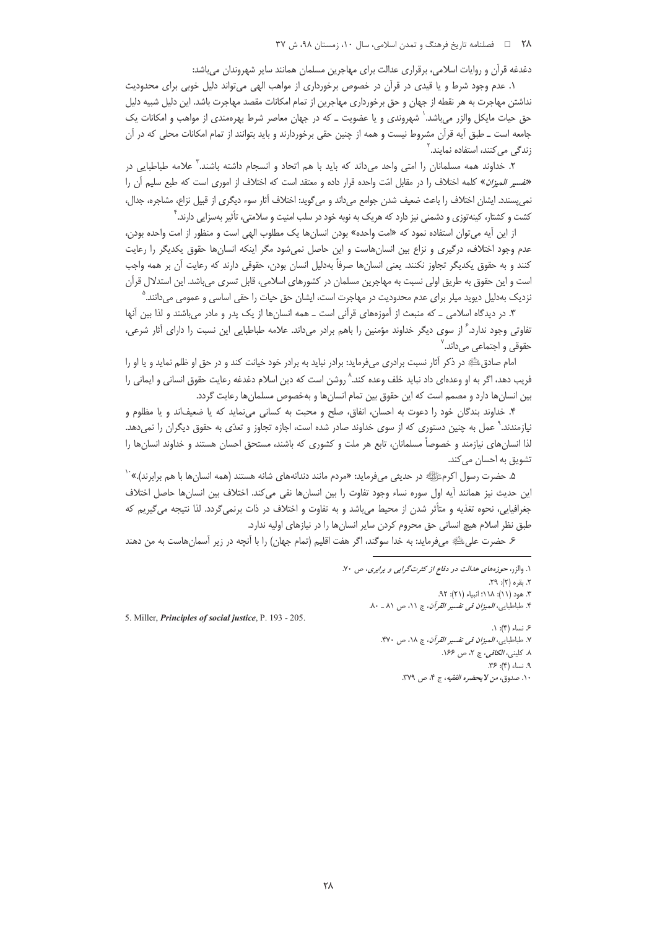## ۲۸ = د فصلنامه تاریخ فرهنگ و تمدن اسلامی، سال ۱۰، زمستان ۹۸، ش ۳۷

دغدغه قرآن و روایات اسلامی، برقراری عدالت برای مهاجرین مسلمان همانند سایر شهروندان می باشد:

۱. عدم وجود شرط و یا قیدی در قرآن در خصوص برخورداری از مواهب الهی می¤واند دلیل خوبی برای محدودیت نداشتن مهاجرت به هر نقطه از جهان و حق برخورداری مهاجرین از تمام امکانات مقصد مهاجرت باشد. این دلیل شبیه دلیل حق حیات مایکل والزر میباشد.` شهروندی و یا عضویت ــ که در جهان معاصر شرط بهرهمندی از مواهب و امکانات یک جامعه است ــ طبق آيه قرآن مشروط نيست و همه از چنين حقى برخوردارند و بايد بتوانند از تمام امكانات محلي كه در آن زندگی می *ک*نند، استفاده نمایند.<sup>۲</sup>

۲. خداوند همه مسلمانان را امتی واحد میداند که باید با هم اتحاد و انسجام داشته باشند.<sup>۳</sup> علامه طباطبایی در «تفسیر *المیزان»* کلمه اختلاف را در مقابل امّت واحده قرار داده و معتقد است که اختلاف از اموری است که طبع سلیم آن را نم ریسندد. ایشان اختلاف را باعث ضعیف شدن جوامع مے داند و مے رگوید: اختلاف آثار سوء دیگری از قبیل نزاع، مشاجره، جدال، کشت و کشتار، کینهتوزی و دشمنی نیز دارد که هریک به نوبه خود در سلب امنیت و سلامتی، تأثیر بهسزایی دارند.<sup>۴</sup>

از این آیه میتوان استفاده نمود که «امت واحده» بودن انسانها یک مطلوب الهی است و منظور از امت واحده بودن، عدم وجود اختلاف، درگیری و نزاع بین انسان هاست و این حاصل نمی شود مگر اینکه انسان ها حقوق یکدیگر را رعایت كنند و به حقوق يكديگر تجاوز نكنند. يعني انسانٍها صرفاً بهدليل انسان بودن، حقوقي دارند كه رعايت آن بر همه واجب است و این حقوق به طریق اولی نسبت به مهاجرین مسلمان در کشورهای اسلامی، قابل تسری میباشد. این استدلال قرآن نزدیک بهدلیل دیوید میلر برای عدم محدودیت در مهاجرت است، ایشان حق حیات را حقی اساسی و عمومی میدانند.<sup>۵</sup>

۳. در دیدگاه اسلامی ـ که منبعث از آموزههای قرآنی است ـ همه انسانها از یک پدر و مادر میباشند و لذا بین آنها تفاوتی وجود ندارد. ٔ از سوی دیگر خداوند مؤمنین را باهم برادر میداند. علامه طباطبایی این نسبت را دارای آثار شرعی، حقوقی و احتما*عی* مے داند. <sup>۷</sup>

امام صادق ﷺ در ذکر آثار نسبت برادري ميفرمايد: برادر نبايد به برادر خود خيانت کند و در حق او ظلم نمايد و يا او را فريب دهد، اگر به او وعدماي داد نبايد خلف وعده كند.^ روشن است كه دين اسلام دغدغه رعايت حقوق انساني و ايماني را بین انسانها دارد و مصمم است که این حقوق بین تمام انسانها و بهخصوص مسلمانها رعایت گردد.

۴. خداوند بندگان خود را دعوت به احسان، انفاق، صلح و محبت به کسانی می نماید که یا ضعیفاند و یا مظلوم و نیازمندند.<sup>۹</sup> عمل به چنین دستوری که از سوی خداوند صادر شده است، اجازه تجاوز و تعدّی به حقوق دیگران را نمیدهد. لذا انسانهای نیازمند و خصوصاً مسلمانان، تابع هر ملت و کشوری که باشند، مستحق احسان هستند و خداوند انسانها را تشويق به احسان مي كند.

۵. حضرت رسول اکرمﷺ در حدیثی میفرماید: «مردم مانند دندانههای شانه هستند (همه انسانها با هم برابرند).»`` این حدیث نیز همانند آیه اول سوره نساء وجود تفاوت را بین انسانها نفی میکند. اختلاف بین انسانها حاصل اختلاف جغرافیایی، نحوه تغذیه و متأثر شدن از محیط میباشد و به تفاوت و اختلاف در ذات برنمیگردد. لذا نتیجه میگیریم که طبق نظر اسلام هیچ انسانی حق محروم کردن سایر انسانها را در نیازهای اولیه ندارد.

۶ـ حضرت على ﷺ مي فرمايد: به خدا سوگند، اگر هفت اقليم (تمام جهان) را با آنچه در زير آسمان هاست به من دهند

- ٢. بقره (٢): ٢٩.
- ٣. هود (١١): ١١٨١؛ انبياء (٢١): ٩٢.

۴. طباطبايي، *الميزان في تفسير القرآن*، ج ١١، ص ٨١ ـ ٨٠.

ع نساء (۴): ۱.

٧. طباطبايي، *الميزان في تفسير القرآن*، ج ١٨، ص ٣٧٠.

۸. کلینی، *الکافی*، ج ۲، ص ۱۶۶.

۹. نساء (۴): ۳۶.

١٠. صدوق، *من لا يحضره الفقيه*، ج ۴، ص ٣٧٩.

5. Miller, *Principles of social justice*, P. 193 - 205.

١. والزر، حوزههای عدالت در دفاع از کثرت گرایی و برابری، ص ٧٠.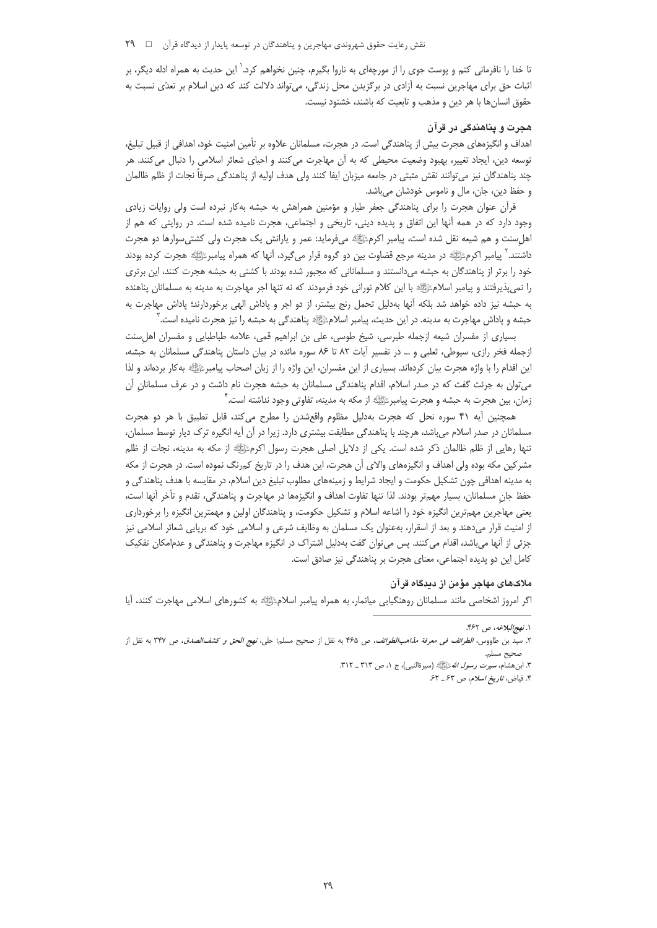نقش رعایت حقوق شهروندی مهاجرین و پناهندگان در توسعه پایدار از دیدگاه قرآن ها ٢٩

تا خدا را نافرمانی کنم و پوست جوی را از مورچهای به ناروا بگیرم، چنین نخواهم کرد.<sup>\</sup> این حدیث به همراه ادله دیگر، بر اثبات حق برای مهاجرین نسبت به ازادی در برگزیدن محل زندگی، می¤واند دلالت کند که دین اسلام بر تعدّی نسبت به حقوق انسانها با هر دین و مذهب و تابعیت که باشند، خشنود نیست.

## هجرت و پناهندگی در قرآن

اهداف و انگیزههای هجرت بیش از پناهندگی است. در هجرت، مسلمانان علاوه بر تأمین امنیت خود، اهدافی از قبیل تبلیغ، توسعه دین، ایجاد تغییر، بهبود وضعیت محیطی که به آن مهاجرت میکنند و احیای شعائر اسلامی را دنبال میکنند. هر چند پناهندگان نیز میتوانند نقش مثبتی در جامعه میزبان ایفا کنند ولی هدف اولیه از پناهندگی صرفاً نجات از ظلم ظالمان و حفظ دین، جان، مال و ناموس خودشان میباشد.

قرآن عنوان هجرت را برای پناهندگی جعفر طیار و مؤمنین همراهش به حبشه بهکار نبرده است ولی روایات زیادی وجود دارد که در همه آنها این اتفاق و پدیده دینی، تاریخی و اجتماعی، هجرت نامیده شده است. در روایتی که هم از اهلسنت و هم شیعه نقل شده است، پیامبر اکرمﷺ میفرماید: عمر و یارانش یک هجرت ولی کشتیسوارها دو هجرت داشتند.' پیامبر اکرمﷺ در مدینه مرجع قضاوت بین دو گروه قرار میگیرد، آنها که همراه پیامبرﷺ هجرت کرده بودند خود را برتر از پناهندگان به حبشه می دانستند و مسلمانانی که مجبور شده بودند با کشتی به حبشه هجرت کنند، این برتری را نمی پذیرفتند و پیامبر اسلامﷺ با این کلام نورانی خود فرمودند که نه تنها اجر مهاجرت به مدینه به مسلمانان پناهنده به حبشه نیز داده خواهد شد بلکه آنها بهدلیل تحمل رنج بیشتر، از دو اجر و پاداش الهی برخوردارند؛ پاداش مهاجرت به حبشه و پاداش مهاجرت به مدینه. در این حدیث، پیامبر اسلامﷺ» پناهندگی به حبشه را نیز هجرت نامیده است. ّ

بسیاری از مفسران شیعه ازجمله طبرسی، شیخ طوسی، علی بن ابراهیم قمی، علامه طباطبایی و مفسران اهل سنت ازجمله فخر رازی، سیوطی، ثعلبی و … در تفسیر آیات ۸۲ تا ۸۶ سوره مائده در بیان داستان پناهندگی مسلمانان به حبشه، این اقدام را با واژه هجرت بیان کردهاند. بسیاری از این مفسران، این واژه را از زبان اصحاب پیامبرﷺ به کار بردهاند و لذا می توان به جرئت گفت که در صدر اسلام، اقدام پناهندگی مسلمانان به حبشه هجرت نام داشت و در عرف مسلمانان آن زمان، بين هجرت به حبشه و هجرت پيامبرﷺ از مكه به مدينه، تفاوتي وجود نداشته است. ۖ

همچنین آیه ۴۱ سوره نحل که هجرت بهدلیل مظلوم واقعشدن را مطرح می کند، قابل تطبیق با هر دو هجرت مسلمانان در صدر اسلام میباشد، هرچند با پناهندگی مطابقت بیشتری دارد. زیرا در آن آیه انگیره ترک دیار توسط مسلمان، تنها رهایی از ظلم ظالمان ذکر شده است. یکی از دلایل اصلی هجرت رسول اکرمﷺ از مکه به مدینه، نجات از ظلم مشر کین مکه بوده ولی اهداف و انگیزههای والای آن هجرت، این هدف را در تاریخ کم,رنگ نموده است. در هجرت از مکه به مدينه اهدافي چون تشكيل حكومت و ايجاد شرايط و زمينههاي مطلوب تبليغ دين اسلام، در مقايسه با هدف يناهندگي و حفظ جان مسلمانان، بسيار مهمتر بودند. لذا تنها تفاوت اهداف و انگيزهها در مهاجرت و پناهندگي، تقدم و تأخر آنها است، یعنی مهاجرین مهم¤رین انگیزه خود را اشاعه اسلام و تشکیل حکومت، و پناهندگان اولین و مهمترین انگیزه را برخورداری از امنیت قرار میدهند و بعد از اسقرار، بهعنوان یک مسلمان به وظایف شرعی و اسلامی خود که برپایی شعائر اسلامی نیز جزئی از آنها میباشد، اقدام می کنند. پس می¤وان گفت بهدلیل اشتراک در انگیزه مهاجرت و پناهندگی و عدم|مکان تفکیک کامل این دو پدیده اجتماعی، معنای هجرت بر پناهندگی نیز صادق است.

## ملاکھای مهاجر مؤمن از دیدگاه قرآن

اگر امروز اشخاصی مانند مسلمانان روهنگیایی میانمار، به همراه پیامبر اسلامﷺ به کشورهای اسلامی مهاجرت کنند، آیا

١. نهج البلاغه، ص ۴۶۲.

٢. سيّد بن طاووس، *الطرائف في معرفة مذاهبالطوائف*، ص ۴۶۵ به نقل از صحيح مسلم؛ حلي، *نهج الحق و كشف|لصدق، ص* ٣۴٧ به نقل از صحيح مسا

٣. ابن هشام، *سیرت رسول الله خَلِیمُی (س*یرةالنبی)، ج ١، ص ٣١٣ ـ ٣١٢.

۴. فياض، ت*اريخ اسلام*، ص ۶۳ ـ ۶۲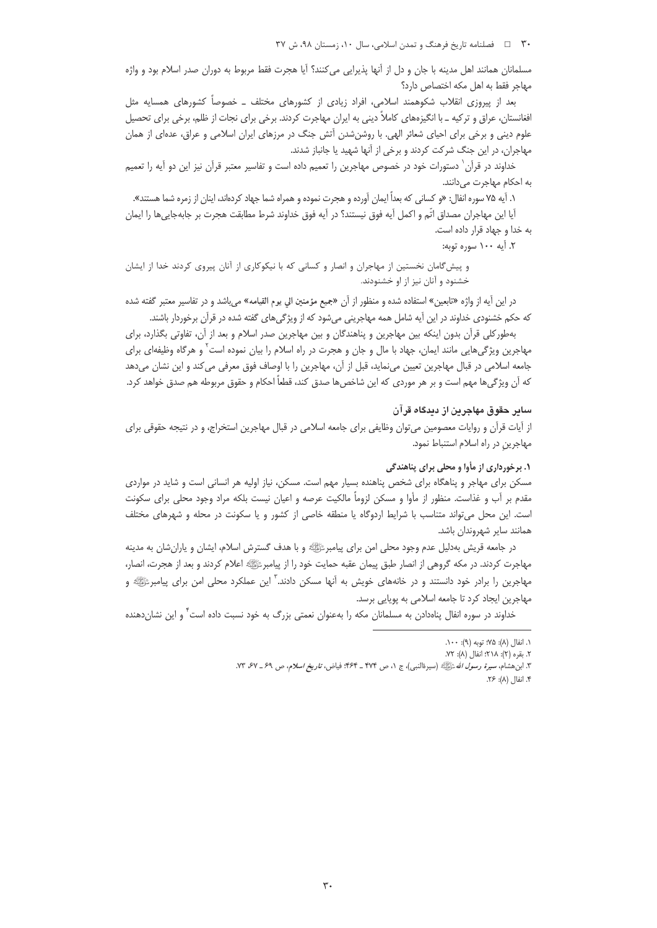٣٠ = المصلنامه تاريخ فرهنگ و تمدن اسلامي، سال ١٠، زمستان ٩٨، ش ٣٧

مسلمانان همانند اهل مدينه با جان و دل از آنها پذيرايي مي كنند؟ آيا هجرت فقط مربوط به دوران صدر اسلام بود و واژه مهاجر فقط به اهل مكه اختصاص دارد؟

بعد از پیروزی انقلاب شکوهمند اسلامی، افراد زیادی از کشورهای مختلف \_ خصوصاً کشورهای همسایه مثل افغانستان، عراق و ترکیه ـ با انگیزههای کاملاً دینی به ایران مهاجرت کردند. برخی برای نجات از ظلم، برخی برای تحصیل علوم دینی و برخی برای احیای شعائر الهی. با روشنشدن آتش جنگ در مرزهای ایران اسلامی و عراق، عدهای از همان مهاجران، در این جنگ شرکت کردند و برخی از آنها شهید یا جانباز شدند.

خداوند در قرآن` دستورات خود در خصوص مهاجرین را تعمیم داده است و تفاسیر معتبر قرآن نیز این دو آیه را تعمیم به احكام مهاجرت مي دانند.

۱. آیه ۷۵ سوره انفال: «و کسانی که بعداً ایمان آورده و هجرت نموده و همراه شما جهاد کردهاند، اینان از زمره شما هستند».

آيا اين مهاجران مصداق اتّم و اكمل آيه فوق نيستند؟ در آيه فوق خداوند شرط مطابقت هجرت بر جابهجاييها را ايمان به خدا و جهاد قرار داده است.

۲. آیه ۱۰۰ سوره توبه:

و پیش گامان نخستین از مهاجران و انصار و کسانی که با نیکوکاری از آنان پیروی کردند خدا از ایشان خشنود و آنان نیز از او خشنودند.

در این آیه از واژه «تابعین» استفاده شده و منظور از آن «جمیع مؤمنین الی یوم القیامه» میباشد و در تفاسیر معتبر گفته شده که حکم خشنودی خداوند در این آیه شامل همه مهاجرینی میشود که از ویژگیهای گفته شده در قرآن برخوردار باشند.

بهطور کلی قرآن بدون اینکه بین مهاجرین و پناهندگان و بین مهاجرین صدر اسلام و بعد از آن، تفاوتی بگذارد، برای مهاجرین ویژگیهایی مانند ایمان، جهاد با مال و جان و هجرت در راه اسلام را بیان نموده است` و هرگاه وظیفهای برای جامعه اسلامی در قبال مهاجرین تعیین مینماید، قبل از آن، مهاجرین را با اوصاف فوق معرفی می کند و این نشان میدهد که آن ویژگی،ها مهم است و بر هر موردی که این شاخص،ها صدق کند، قطعاً احکام و حقوق مربوطه هم صدق خواهد کرد.

## ساير حقوق مهاجرين از ديدگاه قرآن

از آیات قرآن و روایات معصومین میتوان وظایفی برای جامعه اسلامی در قبال مهاجرین استخراج، و در نتیجه حقوقی برای مهاجرین در راه اسلام استنباط نمود.

## ۱. برخورداری از مأوا و محلی برای پناهندگی

مسکن برای مهاجر و پناهگاه برای شخص پناهنده بسیار مهم است. مسکن، نیاز اولیه هر انسانی است و شاید در مواردی مقدم بر آب و غذاست. منظور از مأوا و مسكن لزوماً مالكيت عرصه و اعيان نيست بلكه مراد وجود محلي براي سكونت است. این محل میتواند متناسب با شرایط اردوگاه یا منطقه خاصی از کشور و یا سکونت در محله و شهرهای مختلف همانند ساير شهروندان باشد.

در جامعه قریش بهدلیل عدم وجود محلی امن برای پیامبرﷺ و با هدف گسترش اسلام، ایشان و یارانشان به مدینه مهاجرت کردند. در مکه گروهی از انصار طبق پیمان عقبه حمایت خود را از پیامبرﷺ اعلام کردند و بعد از هجرت، انصار، مهاجرین را برادر خود دانستند و در خانههای خویش به آنها مسکن دادند.<sup>۲</sup> این عملکرد محلی امن برای پیامبرﷺ» و مهاجرین ایجاد کرد تا جامعه اسلامی به پویایی برسد.

خداوند در سوره انفال پناهدادن به مسلمانان مکه را بهعنوان نعمتی بزرگ به خود نسبت داده است ٔ و این نشان دهنده

٠١. انفال (٨): ٧۵: توبه (٩): ١٠٠.

٢. بقره (٢): ٢١٨: انفال (٨): ٧٢. ۳. ابن هشام، *سیرة رسول الله ﷺ* (سیرةالنبی)، ج ۱، ص ۴۷۴ ـ ۴۶۴؛ فیاض، *تاریخ اسلام*، ص ۶۹ ـ ۶۷. ۷۳.

۴. انفال (٨): ٢۶.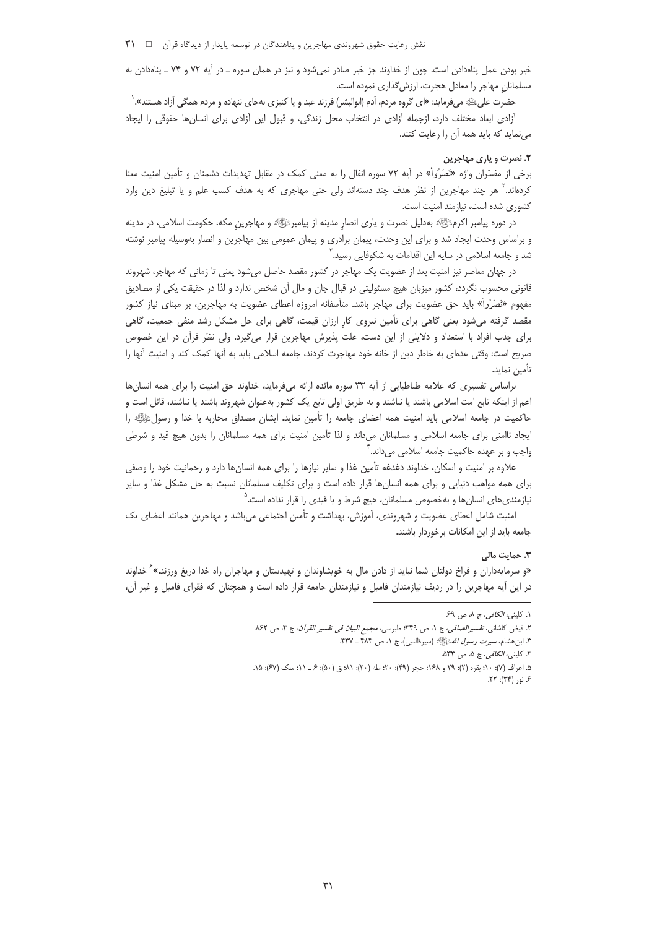نقش رعایت حقوق شهروندی مهاجرین و پناهندگان در توسعه پایدار از دیدگاه قرآن ها ۳۱

خیر بودن عمل پناهدادن است. چون از خداوند جز خیر صادر نمی شود و نیز در همان سوره ـ در آیه ۷۲ و ۷۴ ـ پناهدادن به مسلمانان مهاجر را معادل هجرت، ارزش گذاری نموده است.

حضرت علیﷺ میفرماید: «ای گروه مردم، آدم (ابوالبشر) فرزند عبد و یا کنیزی بهجای ننهاده و مردم همگی آزاد هستند». <sup>(</sup>

آزادی ابعاد مختلف دارد، ازجمله آزادی در انتخاب محل زندگی، و قبول این آزادی برای انسانها حقوقی را ایجاد می:نماید که باید همه آن را رعایت کنند.

## ۲. نصرت و یاری مهاجرین

برخی از مفسّران واژه «نَصَرُواْ» در آیه ۷۲ سوره انفال را به معنی کمک در مقابل تهدیدات دشمنان و تأمین امنیت معنا کردهاند.<sup>۲</sup> هر چند مهاجرین از نظر هدف چند دستهاند ولی حتی مهاجری که به هدف کسب علم و یا تبلیغ دین وارد کشوری شده است، نیازمند امنیت است.

در دوره پیامبر اکرمﷺ بهدلیل نصرت و یاری انصار مدینه از پیامبرﷺ و مهاجرین مکه، حکومت اسلامی، در مدینه و براساس وحدت ایجاد شد و برای این وحدت، پیمان برادری و پیمان عمومی بین مهاجرین و انصار بهوسیله پیامبر نوشته شد و جامعه اسلامی در سایه این اقدامات به شکوفایی رسید. ٔ

در جهان معاصر نیز امنیت بعد از عضویت یک مهاجر در کشور مقصد حاصل می شود یعنی تا زمانی که مهاجر، شهروند قانونی محسوب نگردد، کشور میزبان هیچ مسئولیتی در قبال جان و مال آن شخص ندارد و لذا در حقیقت یکی از مصادیق مفهوم «نَصَرُواْ» باید حق عضویت برای مهاجر باشد. متأسفانه امروزه اعطای عضویت به مهاجرین، بر مبنای نیاز کشور مقصد گرفته میشود یعنی گاهی برای تأمین نیروی کار ارزان قیمت، گاهی برای حل مشکل رشد منفی جمعیت، گاهی برای جذب افراد با استعداد و دلایلی از این دست، علت پذیرش مهاجرین قرار میگیرد. ولی نظر قرآن در این خصوص صریح است: وقتی عدهای به خاطر دین از خانه خود مهاجرت کردند، جامعه اسلامی باید به آنها کمک کند و امنیت آنها را تأمين نمايد.

براساس تفسیری که علامه طباطبایی از آیه ۳۳ سوره مائده ارائه می فرماید، خداوند حق امنیت را برای همه انسان ها اعم از اینکه تابع امت اسلامی باشند یا نباشند و به طریق اولی تابع یک کشور بهعنوان شهروند باشند یا نباشند، قائل است و حاکمیت در جامعه اسلامی باید امنیت همه اعضای جامعه را تأمین نماید. ایشان مصداق محاربه با خدا و رسولﷺ را ایجاد ناامنی برای جامعه اسلامی و مسلمانان میداند و لذا تأمین امنیت برای همه مسلمانان را بدون هیچ قید و شرطی واجب و بر عهده حاكميت جامعه اسلامي ميداند.

علاوه بر امنیت و اسکان، خداوند دغدغه تأمین غذا و سایر نیازها را برای همه انسانها دارد و رحمانیت خود را وصفی برای همه مواهب دنیایی و برای همه انسانها قرار داده است و برای تکلیف مسلمانان نسبت به حل مشکل غذا و سایر نیازمندیهای انسانها و بهخصوص مسلمانان، هیچ شرط و یا قیدی را قرار نداده است.<sup>۵</sup>

امنیت شامل اعطای عضویت و شهروندی، آموزش، بهداشت و تأمین اجتماعی میباشد و مهاجرین همانند اعضای یک جامعه باید از این امکانات برخوردار باشند.

## ٣. حمايت مالي

«و سرمایهداران و فراخ دولتان شما نباید از دادن مال به خویشاوندان و تهیدستان و مهاجران راه خدا دریغ ورزند.» ً خداوند در این آیه مهاجرین را در ردیف نیازمندان فامیل و نیازمندان جامعه قرار داده است و همچنان که فقرای فامیل و غیر آن،

۰۱. کلینی، *الکافی*، ج ۸، ص ۶۹.

٢. فيض كاشاني، تفسير *الصافي*، ج ١، ص ۴۴٩؛ طبرسي، مجمع *البيان في تفسير القرآن*، ج ۴، ص ٨۶٢.

۳. ابن هشام، *سیرت رسول الله ﷺ* (سیرةالنبی)، ج ۱، ص ۴۸۴ ـ ۴۳۷.

۴. کلینی، *الکافی*، ج ۵، ص ۵۳۳.

۵. اعراف (٧): ١٠؛ بقره (٢): ٢٩ و ١٤٨؛ حجر (۴٩): ٢٠؛ طه (٢٠): ٨١؛ ق (٥٠): ۶ ـ ١١؛ ملك (۶٧): ١٥.

۶. نور (۲۴): ۲۲.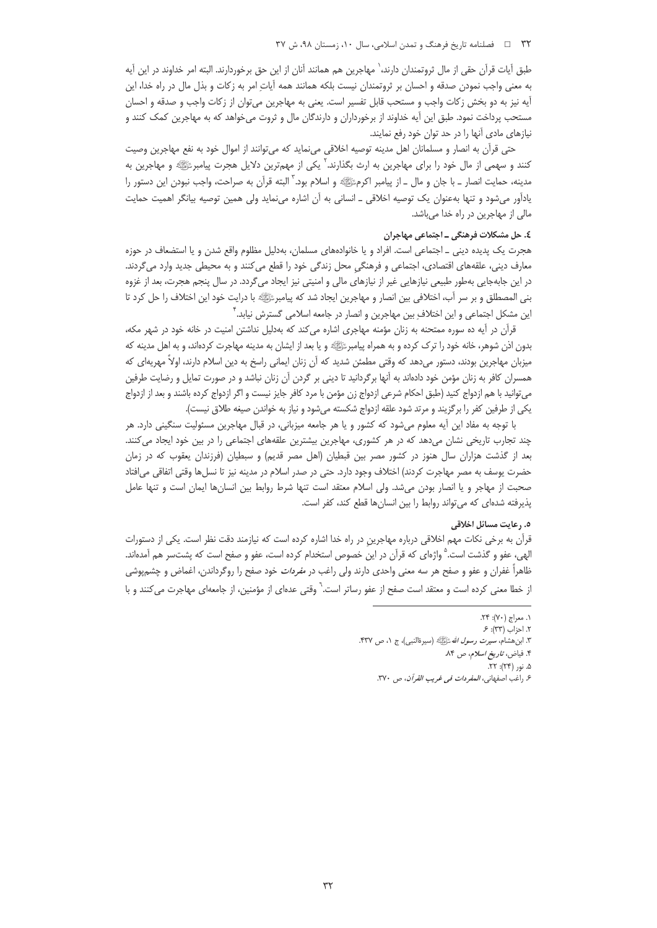## ٣٢ = = فصلنامه تاريخ فرهنگ و تمدن اسلامي، سال ١٠، زمستان ٩٨، ش ٣٧

طبق آيات قرآن حقى از مال ثروتمندان دارند،` مهاجرين هم همانند آنان از اين حق برخوردارند. البته امر خداوند در اين آيه به معنی واجب نمودن صدقه و احسان بر ثروتمندان نیست بلکه همانند همه آیاتِ امر به زکات و بذل مال در راه خدا، این آيه نيز به دو بخش زكات واجب و مستحب قابل تفسير است. يعني به مهاجرين مي¤وان از زكات واجب و صدقه و احسان مستحب پرداخت نمود. طبق این آیه خداوند از برخورداران و دارندگان مال و ثروت میخواهد که به مهاجرین کمک کنند و نیازهای مادی آنها را در حد توان خود رفع نمایند.

حتی قرأن به انصار و مسلمانان اهل مدینه توصیه اخلاقی مینماید که میتوانند از اموال خود به نفع مهاجرین وصیت کنند و سهمی از مال خود را برای مهاجرین به ارث بگذارند.<sup>۲</sup> یکی از مهمترین دلایل هجرت پیامبرﷺ و مهاجرین به مدينه، حمايت انصار \_ با جان و مال \_ از پيامبر اكرمﷺ و اسلام بود. ْ البته قرآن به صراحت، واجب نبودن اين دستور را یادآور میشود و تنها بهعنوان یک توصیه اخلاقی ـ انسانی به آن اشاره مینماید ولی همین توصیه بیانگر اهمیت حمایت مالی از مهاجرین در راه خدا میباشد.

# ٤. حل مشكلات فرهنگي \_ اجتماعي مهاجران

هجرت یک پدیده دینی ـ اجتماعی است. افراد و یا خانوادههای مسلمان، بهدلیل مظلوم واقع شدن و یا استضعاف در حوزه معارف دینی، علقههای اقتصادی، اجتماعی و فرهنگی محل زندگی خود را قطع می کنند و به محیطی جدید وارد می گردند. در این جابهجایی بهطور طبیعی نیازهایی غیر از نیازهای مالی و امنیتی نیز ایجاد میگردد. در سال پنجم هجرت، بعد از غزوه بنی المصطلق و بر سر آب، اختلافی بین انصار و مهاجرین ایجاد شد که پیامبرﷺ» با درایت خود این اختلاف را حل کرد تا این مشکل اجتماعی و این اختلاف بین مهاجرین و انصار در جامعه اسلامی گسترش نیابد. ٔ

قرآن در آیه ده سوره ممتحنه به زنان مؤمنه مهاجری اشاره میکند که بهدلیل نداشتن امنیت در خانه خود در شهر مکه، بدون اذن شوهر، خانه خود را ترک کرده و به همراه پیامبرﷺ و یا بعد از ایشان به مدینه مهاجرت کردهاند، و به اهل مدینه که میزبان مهاجرین بودند، دستور میدهد که وقتی مطمئن شدید که آن زنان ایمانی راسخ به دین اسلام دارند، اولاً مهریهای که همسران کافر به زنان مؤمن خود دادهاند به آنها برگردانید تا دینی بر گردن آن زنان نباشد و در صورت تمایل و رضایت طرفین میتوانید با هم ازدواج کنید (طبق احکام شرعی ازدواج زن مؤمن با مرد کافر جایز نیست و اگر ازدواج کرده باشند و بعد از ازدواج یکی از طرفین کفر را برگزیند و مرتد شود علقه ازدواج شکسته میشود و نیاز به خواندن صیغه طلاق نیست).

با توجه به مفاد این آیه معلوم میشود که کشور و یا هر جامعه میزبانی، در قبال مهاجرین مسئولیت سنگینی دارد. هر چند تجارب تاریخی نشان میدهد که در هر کشوری، مهاجرین بیشترین علقههای اجتماعی را در بین خود ایجاد می کنند. بعد از گذشت هزاران سال هنوز در کشور مصر بین قبطیان (اهل مصر قدیم) و سبطیان (فرزندان یعقوب که در زمان حضرت يوسف به مصر مهاجرت كردند) اختلاف وجود دارد. حتى در صدر اسلام در مدينه نيز تا نسلءا وقتى اتفاقى مىافتاد صحبت از مهاجر و یا انصار بودن میشد. ولی اسلام معتقد است تنها شرط روابط بین انسانها ایمان است و تنها عامل یذیرفته شدهای که می تواند روابط را بین انسان ها قطع کند، کفر است.

#### ٥. رعايت مسائل اخلاقي

قرآن به برخی نکات مهم اخلاقی درباره مهاجرین در راه خدا اشاره کرده است که نیازمند دقت نظر است. یکی از دستورات الهي، عفو و گذشت است.<sup>۵</sup> واژهاي كه قرآن در اين خصوص استخدام كرده است، عفو و صفح است كه پشتسر هم آمدهاند. ظاهراً غفران و عفو و صفح هر سه معنى واحدى دارند ولي راغب در *مفردات* خود صفح را روگرداندن، اغماض و چشم<u>پو</u>شي از خطا معنی کرده است و معتقد است صفح از عفو رساتر است.<sup>7</sup> وقتی عدهای از مؤمنین، از جامعهای مهاجرت می *ک*نند و با

٠١. معراج (٧٠): ٢۴.

٢. احزاب (٣٣): ۶. ٣. ابن هشام، *سيرت رسول الله خَلِيَّاتِيُّ* (سيرةالنبي)، ج ١، ص ۴۳۷.

۴. فیاض، *تاریخ اسلام*، ص ۸۴.

۵. نور (۲۴): ۲۲.

ع. راغب اصفهاني، *المفردات في غريب القرآن*، ص ٣٧٠.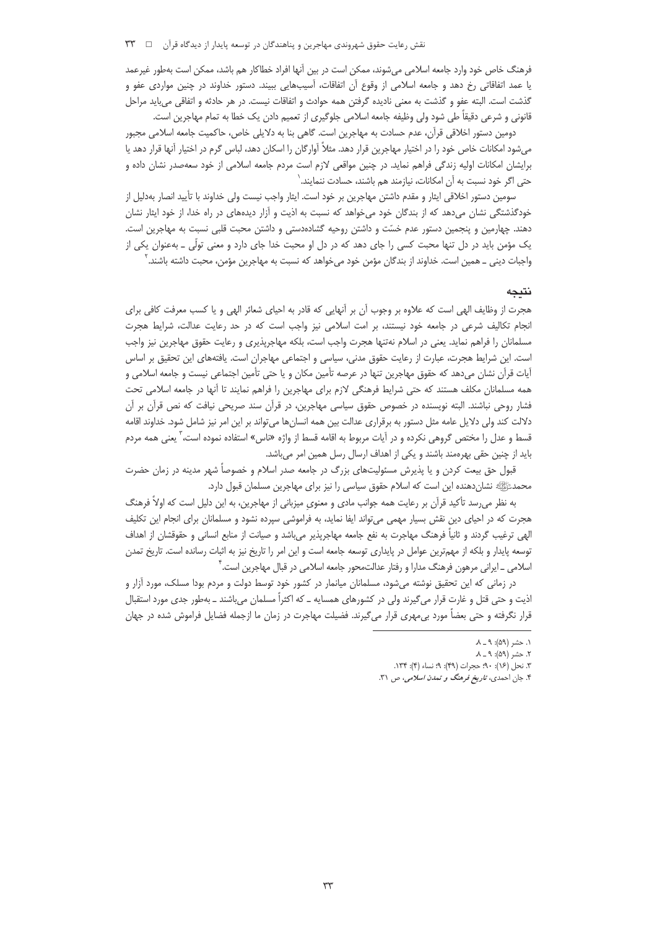فرهنگ خاص خود وارد جامعه اسلامی می شوند، ممکن است در بین آنها افراد خطاکار هم باشد، ممکن است بهطور غیرعمد یا عمد اتفاقاتی رخ دهد و جامعه اسلامی از وقوع آن اتفاقات، آسیبهایی ببیند. دستور خداوند در چنین مواردی عفو و گذشت است. البته عفو و گذشت به معنی نادیده گرفتن همه حوادث و اتفاقات نیست. در هر حادثه و اتفاقی می باید مراحل قانونی و شرعی دقیقاً طی شود ولی وظیفه جامعه اسلامی جلوگیری از تعمیم دادن یک خطا به تمام مهاجرین است.

دومین دستور اخلاقی قرآن، عدم حسادت به مهاجرین است. گاهی بنا به دلایلی خاص، حاکمیت جامعه اسلامی مجبور میشود امکانات خاص خود را در اختیار مهاجرین قرار دهد. مثلا آوارگان را اسکان دهد، لباس گرم در اختیار آنها قرار دهد یا برایشان امکانات اولیه زندگی فراهم نماید. در چنین مواقعی لازم است مردم جامعه اسلامی از خود سعهصدر نشان داده و حتى اگر خود نسبت به آن امكانات، نيازمند هم باشند، حسادت ننمايند. `

سومین دستور اخلاقی ایثار و مقدم داشتن مهاجرین بر خود است. ایثار واجب نیست ولی خداوند با تأیید انصار بهدلیل از خودگذشتگی نشان میدهد که از بندگان خود میخواهد که نسبت به اذیت و آزار دیدههای در راه خدا، از خود ایثار نشان دهند. چهارمین و پنجمین دستور عدم خسّت و داشتن روحیه گشادهدستی و داشتن محبت قلبی نسبت به مهاجرین است. یک مؤمن باید در دل تنها محبت کسی را جای دهد که در دل او محبت خدا جای دارد و معنی تولّی ــ بهعنوان یکی از واجبات دینی ــ همین است. خداوند از بندگان مؤمن خود میeخواهد که نسبت به مهاجرین مؤمن، محبت داشته باشند.<sup>۲</sup>

## نتيجه

هجرت از وظایف الهی است که علاوه بر وجوب آن بر آنهایی که قادر به احیای شعائر الهی و یا کسب معرفت کافی برای انجام تکالیف شرعی در جامعه خود نیستند، بر امت اسلامی نیز واجب است که در حد رعایت عدالت، شرایط هجرت مسلمانان را فراهم نماید. یعنی در اسلام نهتنها هجرت واجب است، بلکه مهاجرپذیری و رعایت حقوق مهاجرین نیز واجب است. این شرایط هجرت، عبارت از رعایت حقوق مدنی، سیاسی و اجتماعی مهاجران است. یافتههای این تحقیق بر اساس آيات قرآن نشان مي دهد كه حقوق مهاجرين تنها در عرصه تأمين مكان و يا حتى تأمين اجتماعي نيست و جامعه اسلامي و همه مسلمانان مكلف هستند كه حتى شرايط فرهنگي لازم براي مهاجرين را فراهم نمايند تا أنها در جامعه اسلامي تحت فشار روحی نباشند. البته نویسنده در خصوص حقوق سیاسی مهاجرین، در قرآن سند صریحی نیافت که نص قرآن بر آن دلالت كند ولي دلايل عامه مثل دستور به برقراري عدالت بين همه انسانها مي¤واند بر اين امر نيز شامل شود. خداوند اقامه قسط و عدل را مختص گروهی نکرده و در آیات مربوط به اقامه قسط از واژه «ناس» استفاده نموده است، ٰ یعنی همه مردم باید از چنین حقی بهرهمند باشند و یکی از اهداف ارسال رسل همین امر میباشد.

قبول حق بیعت کردن و یا پذیرش مسئولیتهای بزرگ در جامعه صدر اسلام و خصوصاً شهر مدینه در زمان حضرت محمدﷺ نشانِ دهنده این است که اسلام حقوق سیاسی را نیز برای مهاجرین مسلمان قبول دارد.

به نظر می رسد تأکید قرآن بر رعایت همه جوانب مادی و معنوی میزبانی از مهاجرین، به این دلیل است که اولاً فرهنگ هجرت که در احیای دین نقش بسیار مهمی می¤واند ایفا نماید، به فراموشی سپرده نشود و مسلمانان برای انجام این تکلیف الهی ترغیب گردند و ثانیاً فرهنگ مهاجرت به نفع جامعه مهاجرپذیر میباشد و صیانت از منابع انسانی و حقوقشان از اهداف توسعه پایدار و بلکه از مهمترین عوامل در پایداری توسعه جامعه است و این امر را تاریخ نیز به اثبات رسانده است. تاریخ تمدن اسلامی ــ ایرانی مرهون فرهنگ مدارا و رفتار عدالت،حور جامعه اسلامی در قبال مهاجرین است. ٔ

در زمانی که این تحقیق نوشته میشود، مسلمانان میانمار در کشور خود توسط دولت و مردم بودا مسلک، مورد آزار و اذیت و حتی قتل و غارت قرار می گیرند ولی در کشورهای همسایه ــ که اکثراً مسلمان می باشند ــ بهطور جدی مورد استقبال قرار نگرفته و حتی بعضاً مورد بی،هری قرار میگیرند. فضیلت مهاجرت در زمان ما ازجمله فضایل فراموش شده در جهان

 $\Lambda = \mathfrak{A}$  : <شر (۵۹): ۹ ـ ۸

۲. حشر (۵۹): ۹ ـ ۸.

٣. نحل (١۶): ٩٠؛ حجرات (٣٩): ٩؛ نساء (٣): ١٣٤.

۴. جان احمدی، *تاریخ فرهنگ و تمدن اسلامی*، ص ۳۱.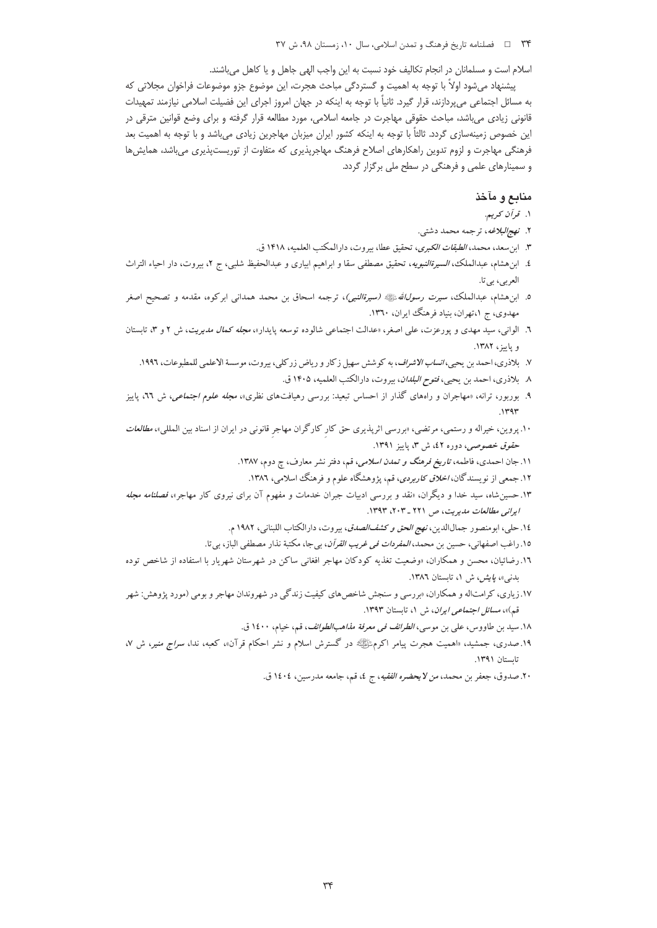## ٣۴ = فصلنامه تاريخ فرهنگ و تمدن اسلامي، سال ١٠، زمستان ٩٨، ش ٣٧

اسلام است و مسلمانان در انجام تكاليف خود نسبت به اين واجب الهي جاهل و يا كاهل ميباشند.

پیشنهاد میشود اولاً با توجه به اهمیت و گستردگی مباحث هجرت، این موضوع جزو موضوعات فراخوان مجلاتی که به مسائل اجتماعی میپردازند، قرار گیرد. ثانیاً با توجه به اینکه در جهان امروز اجرای این فضیلت اسلامی نیازمند تمهیدات قانونی زیادی میباشد، مباحث حقوقی مهاجرت در جامعه اسلامی، مورد مطالعه قرار گرفته و برای وضع قوانین مترقی در این خصوص زمینهسازی گردد. ثالثاً با توجه به اینکه کشور ایران میزبان مهاجرین زیادی میباشد و با توجه به اهمیت بعد فرهنگی مهاجرت و لزوم تدوین راهکارهای اصلاح فرهنگ مهاجرپذیری که متفاوت از توریستپذیری میباشد، همایش ها و سمینارهای علمی و فرهنگی در سطح ملی برگزار گردد.

# منابع و مآخذ

- ۱. قرآن کریم.
- ۲. *نهج البلاغه*، ترجمه محمد دشتی.
- ٣. ابن سعد، محمد، *الطبقات الكبرى*، تحقيق عطا، بيروت، دارالمكتب العلميه، ١۴١٨ ق.
- ٤. ابن۵هشام، عبدالملک، *السیرةالنبویه*، تحقیق مصطفی سقا و ابراهیم ابیاری و عبدالحفیظ شلبی، ج ۲، بیروت، دار احیاء التراث العربي، بيتا.
- ٥. ابن۵شام، عبدالملک، *سیرت رسولاللهﷺ (سیرةالنبی)*، ترجمه اسحاق بن محمد همدان<sub>ی</sub> ابرکوه، مقدمه و تصحیح اصغر مهدوی، ج ۱،تهران، بنیاد فرهنگ ایران، ۱۳٦۰.
- ٦. الواني، سيد مهدي و پورعزت، علي اصغر، «عدالت اجتماعي شالوده توسعه پايدار»، *مجله كمال مديريت*، ش ٢ و ٣، تابستان و ماسز، ١٣٨٢.
	- ۷. بلاذري، احمد بن يحيي، *انساب الاشراف*، به كوشش سهيل زكار و رياض زركلي، بيروت، موسسة الاعلمي للمطبوعات، ۱۹۹۲.
		- ٨ بلاذري، احمد بن يحيى، *فتوح البلدان*، بيروت، دارالكتب العلميه، ١۴٠۵ ق.
- ۹. بوربور، ترانه، «مهاجران و راههای گذار از احساس تبعید: بررسی رهیافتهای نظری»، *مجله علوم اجتماعی،* ش ۲**۱**، پاییز  $144$
- ۱۰. پروین، خیراله و رستمی، مرتضی، «بررسی اثرپذیری حق کار کارگران مهاجر قانونی در ایران از اسناد بین المللی»، *مطالعات* حق*وق خصوصی، دوره ٤٢، ش ٣، پاییز ١٣٩١.* 
	- ۱۱. جان احمدی، فاطمه، *تاریخ فرهنگ و تمدن اسلامی*، قم، دفتر نشر معارف، چ دوم، ۱۳۸۷.
		- ۱۲. جمعی از نویسندگان، *اخلاق کاربردی*، قم، یژوهشگاه علوم و فرهنگ اسلامی، ۱۳۸۲.
- ۱۳.حسین شاه، سید خدا و دیگران، «نقد و بررسی ادبیات جبران خدمات و مفهوم آن برای نیروی کار مهاجر»، *فصلنامه مجله* ایرانی مطالعات مدیریت، ص ۲۲۱ \_ ۲۰۳، ۱۳۹۳.
	- ١٤. حلي، ابومنصور جمالالدين، نهج *الحق و كشف الصدق*، بيروت، دارالكتاب اللبناني، ١٩٨٢ م.
	- ١٥. راغب اصفهاني، حسين بن محمد، *المفردات في غريب القرآن*، بي جا، مكتبة نذار مصطفى الباز، بي تا.
- ١٦. رضائیان، محسن و همکاران، «وضعیت تغذیه کودکان مهاجر افغانی ساکن در شهرستان شهریار با استفاده از شاخص توده بدنی»، *پایش، ش ۱، تابستان ۱۳۸*۲.
- ۱۷.زیاری، کرامتاله و همکاران، «بررسی و سنجش شاخصهای کیفیت زندگی در شهروندان مهاجر و بومی (مورد پژوهش: شهر قم)»، *مسائل اجتماعی ایران*، ش ۱، تابستان ۱۳۹۳.
	- ١٨. سيد بن طاووس، على بن موسى، *الطرائف في معرفة مذاهب الطوائف*، قم، خيام، ١٤٠٠ ق.
- ۱۹.صدری، جمشید، «اهمیت هجرت پیامر اکرمﷺ در گسترش اسلام و نشر احکام قرآن»، کعبه، ندا، *سراج منی*ر، ش ۷، ناىستان ١٣٩١.
	- ۲۰. صدوق، جعفر بن محمد، *من لايحضره الفقيه*، ج ٤، قم، جامعه مدرسين، ١٤٠٤ ق.